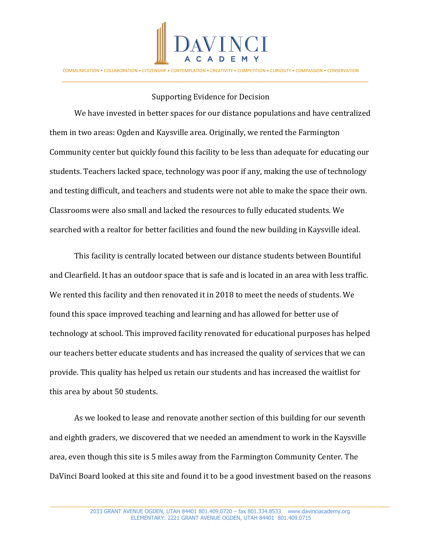

COMMUNICATION • COLLABORATION • CITIZENSHIP • CONTEMPLATION • CREATIVITY • COMPETITION • CURIOSITY • COMPASSION • CONSERVATION \_\_\_\_\_\_\_\_\_\_\_\_\_\_\_\_\_\_\_\_\_\_\_\_\_\_\_\_\_\_\_\_\_\_\_\_\_\_\_\_\_\_\_\_\_\_\_\_\_\_\_\_\_\_\_\_\_\_\_\_\_\_\_\_\_\_\_\_\_\_\_\_\_\_\_\_\_\_\_\_\_\_\_\_\_\_\_\_\_\_\_\_\_\_\_\_\_\_\_\_

## Supporting Evidence for Decision

We have invested in better spaces for our distance populations and have centralized them in two areas: Ogden and Kaysville area. Originally, we rented the Farmington Community center but quickly found this facility to be less than adequate for educating our students. Teachers lacked space, technology was poor if any, making the use of technology and testing difficult, and teachers and students were not able to make the space their own. Classrooms were also small and lacked the resources to fully educated students. We searched with a realtor for better facilities and found the new building in Kaysville ideal.

This facility is centrally located between our distance students between Bountiful and Clearfield. It has an outdoor space that is safe and is located in an area with less traffic. We rented this facility and then renovated it in 2018 to meet the needs of students. We found this space improved teaching and learning and has allowed for better use of technology at school. This improved facility renovated for educational purposes has helped our teachers better educate students and has increased the quality of services that we can provide. This quality has helped us retain our students and has increased the waitlist for this area by about 50 students.

As we looked to lease and renovate another section of this building for our seventh and eighth graders, we discovered that we needed an amendment to work in the Kaysville area, even though this site is 5 miles away from the Farmington Community Center. The DaVinci Board looked at this site and found it to be a good investment based on the reasons